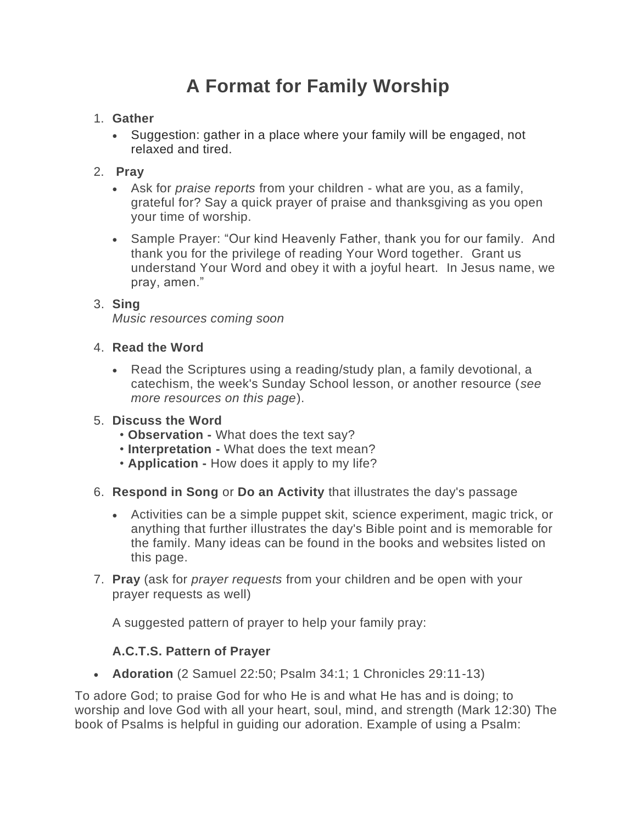# **A Format for Family Worship**

### 1. **Gather**

• Suggestion: gather in a place where your family will be engaged, not relaxed and tired.

# 2. **Pray**

- Ask for *praise reports* from your children what are you, as a family, grateful for? Say a quick prayer of praise and thanksgiving as you open your time of worship.
- Sample Prayer: "Our kind Heavenly Father, thank you for our family. And thank you for the privilege of reading Your Word together. Grant us understand Your Word and obey it with a joyful heart. In Jesus name, we pray, amen."

## 3. **Sing**

*Music resources coming soon*

#### 4. **Read the Word**

• Read the Scriptures using a reading/study plan, a family devotional, a catechism, the week's Sunday School lesson, or another resource (*see more resources on this page*).

#### 5. **Discuss the Word**

- **Observation -** What does the text say?
- **Interpretation -** What does the text mean?
- **Application -** How does it apply to my life?
- 6. **Respond in Song** or **Do an Activity** that illustrates the day's passage
	- Activities can be a simple puppet skit, science experiment, magic trick, or anything that further illustrates the day's Bible point and is memorable for the family. Many ideas can be found in the books and websites listed on this page.
- 7. **Pray** (ask for *prayer requests* from your children and be open with your prayer requests as well)

A suggested pattern of prayer to help your family pray:

# **A.C.T.S. Pattern of Prayer**

• **Adoration** (2 Samuel 22:50; Psalm 34:1; 1 Chronicles 29:11-13)

To adore God; to praise God for who He is and what He has and is doing; to worship and love God with all your heart, soul, mind, and strength (Mark 12:30) The book of Psalms is helpful in guiding our adoration. Example of using a Psalm: